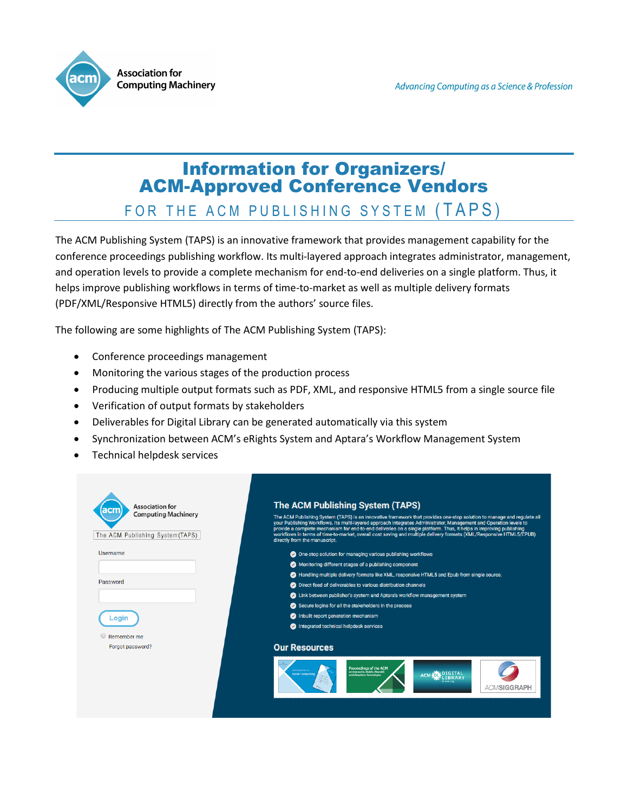

# Information for Organizers/ ACM-Approved Conference Vendors

FOR THE ACM PUBLISHING SYSTEM (TAPS)

The ACM Publishing System (TAPS) is an innovative framework that provides management capability for the conference proceedings publishing workflow. Its multi-layered approach integrates administrator, management, and operation levels to provide a complete mechanism for end-to-end deliveries on a single platform. Thus, it helps improve publishing workflows in terms of time-to-market as well as multiple delivery formats (PDF/XML/Responsive HTML5) directly from the authors' source files.

The following are some highlights of The ACM Publishing System (TAPS):

- Conference proceedings management
- Monitoring the various stages of the production process
- Producing multiple output formats such as PDF, XML, and responsive HTML5 from a single source file
- Verification of output formats by stakeholders
- Deliverables for Digital Library can be generated automatically via this system
- Synchronization between ACM's eRights System and Aptara's Workflow Management System
- Technical helpdesk services

| acm<br><b>Computing Machinery</b><br>The ACM Publishing System(TAPS) | The ACM Publishing System (TAPS) is an innovative framework that provides one-stop solution to manage and regulate all<br>your Publishing Workflows. Its multi-layered approach integrates Administrator, Management and Operation levels to<br>provide a complete mechanism for end-to-end deliveries on a single platform. Thus, it helps in improving publishing<br>workflows in terms of time-to-market, overall cost saving and multiple delivery formats (XML/Responsive HTML5/EPUB)<br>directly from the manuscript. |
|----------------------------------------------------------------------|-----------------------------------------------------------------------------------------------------------------------------------------------------------------------------------------------------------------------------------------------------------------------------------------------------------------------------------------------------------------------------------------------------------------------------------------------------------------------------------------------------------------------------|
| <b>Username</b>                                                      | One-stop solution for managing various publishing workflows                                                                                                                                                                                                                                                                                                                                                                                                                                                                 |
|                                                                      | Monitoring different stages of a publishing component                                                                                                                                                                                                                                                                                                                                                                                                                                                                       |
|                                                                      | A Handling multiple delivery formats like XML, responsive HTML5 and Epub from single source.                                                                                                                                                                                                                                                                                                                                                                                                                                |
| Password                                                             | <b>O</b> Direct feed of deliverables to various distribution channels                                                                                                                                                                                                                                                                                                                                                                                                                                                       |
|                                                                      | Link between publisher's system and Aptara's workflow management system                                                                                                                                                                                                                                                                                                                                                                                                                                                     |
|                                                                      | Secure logins for all the stakeholders in the process                                                                                                                                                                                                                                                                                                                                                                                                                                                                       |
| Login                                                                | Inbuilt report generation mechanism                                                                                                                                                                                                                                                                                                                                                                                                                                                                                         |
|                                                                      | Integrated technical helpdesk services                                                                                                                                                                                                                                                                                                                                                                                                                                                                                      |
| $\Box$ Remember me                                                   |                                                                                                                                                                                                                                                                                                                                                                                                                                                                                                                             |
| Forgot password?                                                     | <b>Our Resources</b>                                                                                                                                                                                                                                                                                                                                                                                                                                                                                                        |
|                                                                      | <b>Proceedings of the ACM</b><br>on interactive, Mobile, Wearoble<br><b>Social Computing</b><br>and Ubiquitous Technologie<br>ACMSIGGRAPH                                                                                                                                                                                                                                                                                                                                                                                   |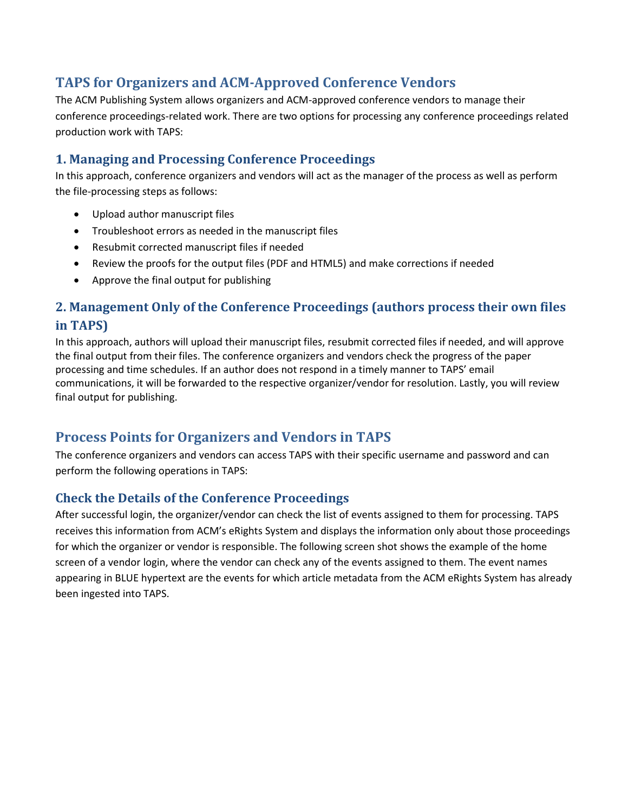# **TAPS for Organizers and ACM-Approved Conference Vendors**

The ACM Publishing System allows organizers and ACM-approved conference vendors to manage their conference proceedings-related work. There are two options for processing any conference proceedings related production work with TAPS:

### **1. Managing and Processing Conference Proceedings**

In this approach, conference organizers and vendors will act as the manager of the process as well as perform the file-processing steps as follows:

- Upload author manuscript files
- Troubleshoot errors as needed in the manuscript files
- Resubmit corrected manuscript files if needed
- Review the proofs for the output files (PDF and HTML5) and make corrections if needed
- Approve the final output for publishing

# **2. Management Only of the Conference Proceedings (authors process their own files in TAPS)**

In this approach, authors will upload their manuscript files, resubmit corrected files if needed, and will approve the final output from their files. The conference organizers and vendors check the progress of the paper processing and time schedules. If an author does not respond in a timely manner to TAPS' email communications, it will be forwarded to the respective organizer/vendor for resolution. Lastly, you will review final output for publishing.

# **Process Points for Organizers and Vendors in TAPS**

The conference organizers and vendors can access TAPS with their specific username and password and can perform the following operations in TAPS:

### **Check the Details of the Conference Proceedings**

After successful login, the organizer/vendor can check the list of events assigned to them for processing. TAPS receives this information from ACM's eRights System and displays the information only about those proceedings for which the organizer or vendor is responsible. The following screen shot shows the example of the home screen of a vendor login, where the vendor can check any of the events assigned to them. The event names appearing in BLUE hypertext are the events for which article metadata from the ACM eRights System has already been ingested into TAPS.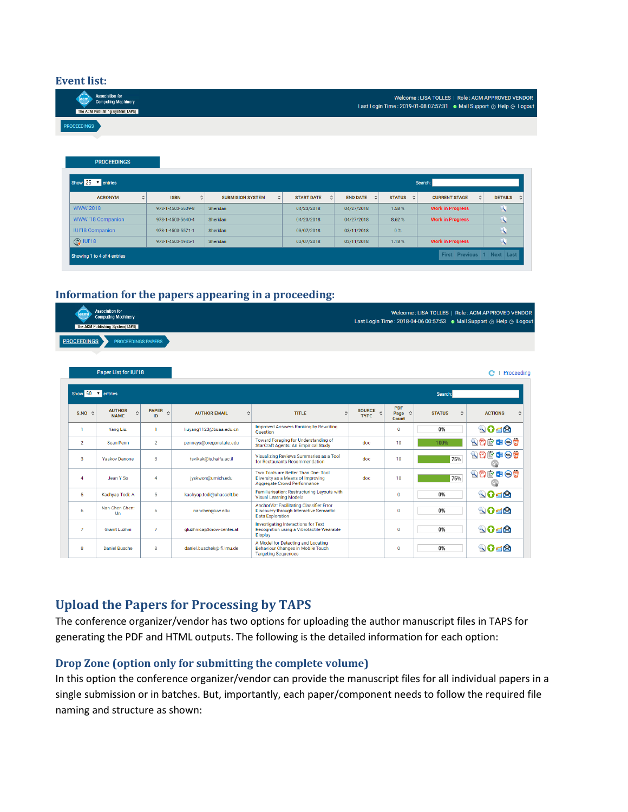#### **Event list:**

| (acm)<br><b>Computing Machinery</b><br>The ACM Publishing System(TAPS) |                                   |                    |                                      |                   |                                   |                            | Welcome: LISA TOLLES   Role: ACM APPROVED VENDOR<br>Last Login Time : 2019-01-08 07:57:31 • Mail Support @ Help $\ominus$ Logout |                |
|------------------------------------------------------------------------|-----------------------------------|--------------------|--------------------------------------|-------------------|-----------------------------------|----------------------------|----------------------------------------------------------------------------------------------------------------------------------|----------------|
| <b>PROCEEDINGS</b>                                                     |                                   |                    |                                      |                   |                                   |                            |                                                                                                                                  |                |
|                                                                        |                                   |                    |                                      |                   |                                   |                            |                                                                                                                                  |                |
|                                                                        |                                   |                    |                                      |                   |                                   |                            |                                                                                                                                  |                |
|                                                                        |                                   |                    |                                      |                   |                                   |                            |                                                                                                                                  |                |
| <b>PROCEEDINGS</b>                                                     |                                   |                    |                                      |                   |                                   |                            |                                                                                                                                  |                |
| Show 25 V entries                                                      |                                   |                    |                                      |                   |                                   |                            | Search:                                                                                                                          |                |
| <b>ACRONYM</b>                                                         | <b>ISBN</b><br>$\hat{\mathbf{v}}$ | $\hat{\mathbf{C}}$ | <b>SUBMISION SYSTEM</b><br>$\hat{C}$ | <b>START DATE</b> | ≎<br><b>END DATE</b><br>$\hat{v}$ | <b>STATUS</b><br>$\hat{v}$ | $\hat{\mathbf{C}}$<br><b>CURRENT STAGE</b>                                                                                       | <b>DETAILS</b> |
| <b>WWW 2018</b>                                                        | 978-1-4503-5639-8                 | Sheridan           |                                      | 04/23/2018        | 04/27/2018                        | 1.58%                      | <b>Work in Progress</b>                                                                                                          | $\mathbf{R}$   |
| WWW '18 Companion                                                      | 978-1-4503-5640-4                 | <b>Sheridan</b>    |                                      | 04/23/2018        | 04/27/2018                        | 8.62%                      | <b>Work in Progress</b>                                                                                                          | $\mathbf{R}$   |
| <b>IUI'18 Companion</b>                                                | 978-1-4503-5571-1                 | Sheridan           |                                      | 03/07/2018        | 03/11/2018                        | 0%                         |                                                                                                                                  | $\mathbf{R}$   |

#### **Information for the papers appearing in a proceeding:**

| Association for<br><b>Execution</b> Computing Machinery<br>The ACM Publishing System(TAPS) | Welcome: LISA TOLLES   Role: ACM APPROVED VENDOR<br>Last Login Time: 2018-04-06 00:57:53 . Mail Support @ Help G Logout |
|--------------------------------------------------------------------------------------------|-------------------------------------------------------------------------------------------------------------------------|
| <b>PROCEEDINGS</b><br><b>PROCEEDINGS PAPERS</b>                                            |                                                                                                                         |

| Paper List for IUI'18        |                              |                          |                           |                    |                                                                                                                |                         |                                               |                    | Proceedin           |
|------------------------------|------------------------------|--------------------------|---------------------------|--------------------|----------------------------------------------------------------------------------------------------------------|-------------------------|-----------------------------------------------|--------------------|---------------------|
| Show $50$ $\bullet$ entries  |                              |                          |                           |                    |                                                                                                                |                         |                                               | Search:            |                     |
| $S.NO \quad \textcircled{c}$ | <b>AUTHOR</b><br><b>NAME</b> | PAPER <sub>2</sub><br>ID | <b>AUTHOR EMAIL</b>       | $\hat{\mathbf{v}}$ | <b>TITLE</b><br>$\hat{\cdot}$                                                                                  | SOURCE c<br><b>TYPE</b> | <b>PDF</b><br>Page $\Leftrightarrow$<br>Count | <b>STATUS</b><br>≎ | <b>ACTIONS</b><br>≎ |
|                              | Yang Liu:                    |                          | liuyang1123@buaa.edu.cn   |                    | Improved Answers Ranking by Rewriting<br><b>Ouestion</b>                                                       |                         | 0                                             | 0%                 | <b>ROSA</b>         |
| $\overline{2}$               | <b>Sean Penn</b>             | $\overline{2}$           | penneys@oregonstate.edu   |                    | Toward Foraging for Understanding of<br><b>StarCraft Agents: An Empirical Study</b>                            | doc                     | 10                                            | 100%               | 996-05              |
| 3                            | <b>Yaakov Danone</b>         | 3                        | tsvikak@is.haifa.ac.il    |                    | Visualizing Reviews Summaries as a Tool<br>for Restaurants Recommendation                                      | doc                     | 10                                            | 75%                | 公母的中心日              |
| $\overline{A}$               | Jean Y So                    | 4                        | jyskwon@umich.edu         |                    | Two Tools are Better Than One: Tool<br>Diversity as a Means of Improving<br><b>Aggregate Crowd Performance</b> | doc                     | 10                                            | 75%                | 公司时中心日              |
| 5                            | Kashyap Todi: A              | 5                        | kashyap.todi@uhasselt.be  |                    | Familiarisation: Restructuring Layouts with<br><b>Visual Learning Models</b>                                   |                         | O.                                            | 0%                 | 8058                |
| 6                            | Nan-Chen Chen:<br>Un         | 6                        | nanchen@uw.edu            |                    | AnchorViz: Facilitating Classifier Error<br>Discovery through Interactive Semantic<br><b>Data Exploration</b>  |                         | $\Omega$                                      | 0%                 | ROFR                |
| $\overline{7}$               | Granit Luzhni                | $\overline{7}$           | qluzhnica@know-center.at  |                    | <b>Investigating Interactions for Text</b><br>Recognition using a Vibrotactile Wearable<br><b>Display</b>      |                         | 0                                             | 0%                 | ROER                |
| 8                            | <b>Daniel Busche</b>         | 8                        | daniel.buschek@ifi.lmu.de |                    | A Model for Detecting and Locating<br>Behaviour Changes in Mobile Touch<br><b>Targeting Sequences</b>          |                         | Ō                                             | 0%                 | <b>SOE®</b>         |

### **Upload the Papers for Processing by TAPS**

The conference organizer/vendor has two options for uploading the author manuscript files in TAPS for generating the PDF and HTML outputs. The following is the detailed information for each option:

#### **Drop Zone (option only for submitting the complete volume)**

In this option the conference organizer/vendor can provide the manuscript files for all individual papers in a single submission or in batches. But, importantly, each paper/component needs to follow the required file naming and structure as shown: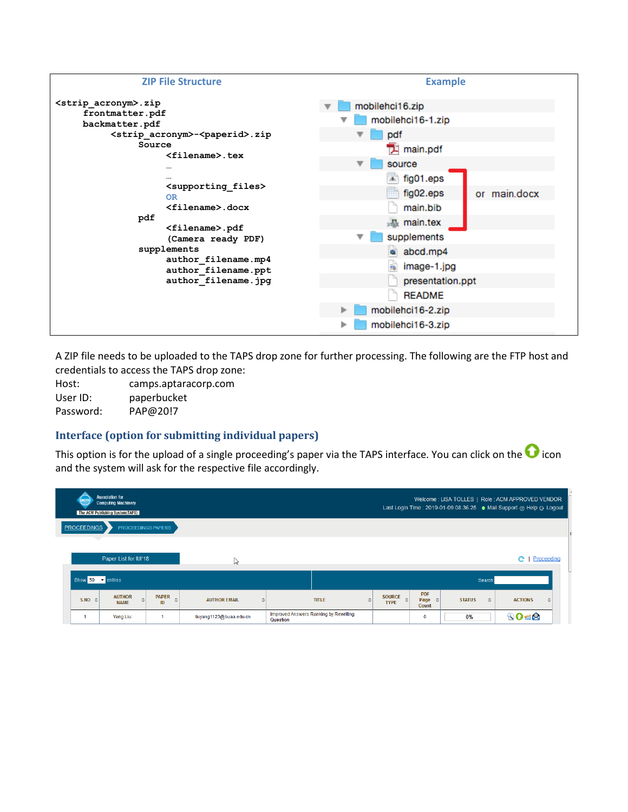

A ZIP file needs to be uploaded to the TAPS drop zone for further processing. The following are the FTP host and credentials to access the TAPS drop zone:

Host: camps.aptaracorp.com User ID: paperbucket Password: PAP@20!7

### **Interface (option for submitting individual papers)**

This option is for the upload of a single proceeding's paper via the TAPS interface. You can click on the  $\bullet$  icon and the system will ask for the respective file accordingly.

|                            | lacm                         | <b>Association for</b><br><b>Computing Machinery</b><br>The ACM Publishing System(TAPS) |                         |                                           |                                                   |                                    |                              |                                        |               |           | Welcome : LISA TOLLES   Role : ACM APPROVED VENDOR<br>Last Login Time : 2019-01-09 08:36:25 . Mail Support @ Help G Logout |  |
|----------------------------|------------------------------|-----------------------------------------------------------------------------------------|-------------------------|-------------------------------------------|---------------------------------------------------|------------------------------------|------------------------------|----------------------------------------|---------------|-----------|----------------------------------------------------------------------------------------------------------------------------|--|
|                            | <b>PROCEEDINGS</b>           | PROCEEDINGS PAPERS                                                                      |                         |                                           |                                                   |                                    |                              |                                        |               |           |                                                                                                                            |  |
| Paper List for IUI'18<br>Ņ |                              |                                                                                         |                         |                                           |                                                   |                                    |                              |                                        |               |           | Proceeding<br>e.                                                                                                           |  |
|                            | Show $50 - $ entries         |                                                                                         |                         |                                           |                                                   |                                    |                              |                                        |               | Search    |                                                                                                                            |  |
|                            | $S.NO \quad \textcircled{.}$ | <b>AUTHOR</b><br>$\hat{C}$<br><b>NAME</b>                                               | <b>PAPER</b><br>Ĉ<br>ID | <b>AUTHOR EMAIL</b><br>$\hat{\mathbf{v}}$ |                                                   | <b>TITLE</b><br>$\hat{\mathbf{v}}$ | <b>SOURCE</b><br><b>TYPE</b> | <b>PDF</b><br>Page $\diamond$<br>Count | <b>STATUS</b> | $\hat{C}$ | <b>ACTIONS</b><br>≎                                                                                                        |  |
|                            |                              | Yang Liu:                                                                               |                         | liuyang1123@buaa.edu.cn                   | Improved Answers Ranking by Rewriting<br>Question |                                    |                              | 0                                      | 0%            |           | <b>BOER</b>                                                                                                                |  |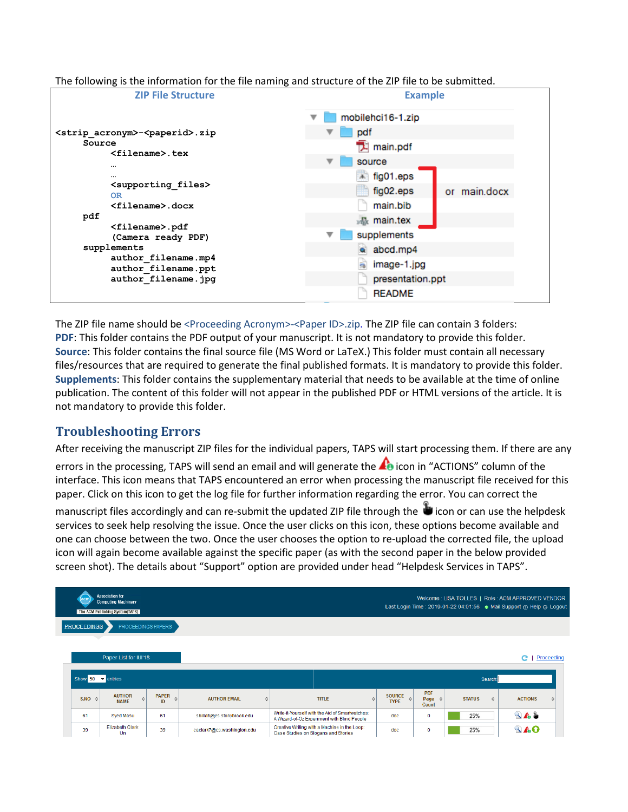| <b>ZIP File Structure</b>                          | <b>Example</b>            |  |  |  |  |
|----------------------------------------------------|---------------------------|--|--|--|--|
|                                                    | mobilehci16-1.zip         |  |  |  |  |
| <strip acronym="">-<paperid>.zip</paperid></strip> | pdf                       |  |  |  |  |
| Source                                             | main.pdf                  |  |  |  |  |
| <filename>.tex<br/></filename>                     | source<br>▼               |  |  |  |  |
| $\cdots$                                           | fig01.eps                 |  |  |  |  |
| <supporting files=""><br/><b>OR</b></supporting>   | fig02.eps<br>or main.docx |  |  |  |  |
| <filename>.docx</filename>                         | main.bib                  |  |  |  |  |
| pdf                                                | <b>品</b> main.tex         |  |  |  |  |
| <filename>.pdf<br/>(Camera ready PDF)</filename>   | supplements<br>▼          |  |  |  |  |
| supplements                                        | abcd.mp4                  |  |  |  |  |
| author filename.mp4<br>author filename.ppt         | image-1.jpg               |  |  |  |  |
| author filename.jpg                                | presentation.ppt          |  |  |  |  |
|                                                    | <b>README</b>             |  |  |  |  |

The following is the information for the file naming and structure of the ZIP file to be submitted.

The ZIP file name should be <Proceeding Acronym>-<Paper ID>.zip. The ZIP file can contain 3 folders: **PDF**: This folder contains the PDF output of your manuscript. It is not mandatory to provide this folder. **Source**: This folder contains the final source file (MS Word or LaTeX.) This folder must contain all necessary files/resources that are required to generate the final published formats. It is mandatory to provide this folder. **Supplements**: This folder contains the supplementary material that needs to be available at the time of online publication. The content of this folder will not appear in the published PDF or HTML versions of the article. It is not mandatory to provide this folder.

### **Troubleshooting Errors**

After receiving the manuscript ZIP files for the individual papers, TAPS will start processing them. If there are any

errors in the processing, TAPS will send an email and will generate the  $\triangle$  icon in "ACTIONS" column of the interface. This icon means that TAPS encountered an error when processing the manuscript file received for this paper. Click on this icon to get the log file for further information regarding the error. You can correct the

manuscript files accordingly and can re-submit the updated ZIP file through the icon or can use the helpdesk services to seek help resolving the issue. Once the user clicks on this icon, these options become available and one can choose between the two. Once the user chooses the option to re-upload the corrected file, the upload icon will again become available against the specific paper (as with the second paper in the below provided screen shot). The details about "Support" option are provided under head "Helpdesk Services in TAPS".

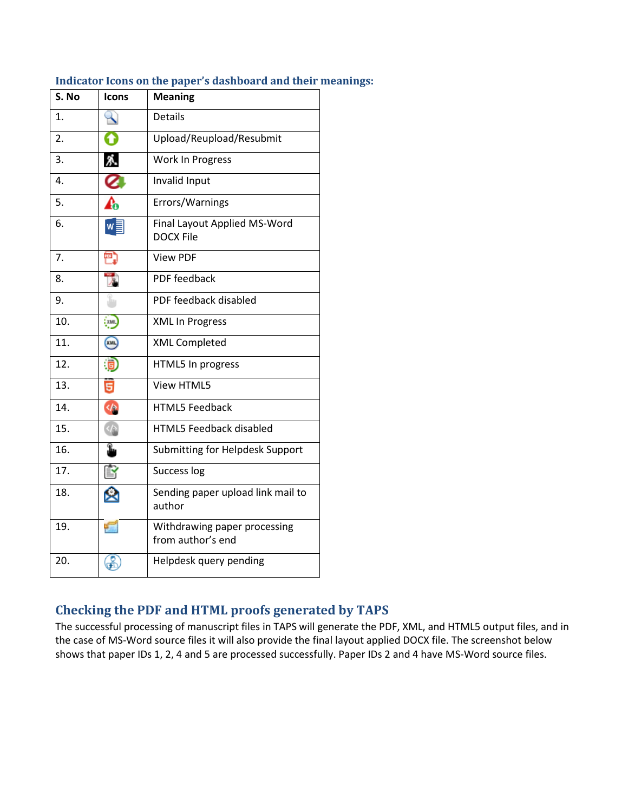| S. No | <b>Icons</b>      | <b>Meaning</b>                                    |
|-------|-------------------|---------------------------------------------------|
| 1.    |                   | <b>Details</b>                                    |
| 2.    |                   | Upload/Reupload/Resubmit                          |
| 3.    | 外                 | Work In Progress                                  |
| 4.    |                   | Invalid Input                                     |
| 5.    | ሴ                 | Errors/Warnings                                   |
| 6.    | $w \equiv$        | Final Layout Applied MS-Word<br><b>DOCX File</b>  |
| 7.    | 冎                 | <b>View PDF</b>                                   |
| 8.    |                   | <b>PDF</b> feedback                               |
| 9.    |                   | PDF feedback disabled                             |
| 10.   | $x$ <sub>MK</sub> | <b>XML In Progress</b>                            |
| 11.   | (xu)              | <b>XML Completed</b>                              |
| 12.   |                   | HTML5 In progress                                 |
| 13.   | 5                 | <b>View HTML5</b>                                 |
| 14.   | 体                 | <b>HTML5 Feedback</b>                             |
| 15.   |                   | <b>HTML5 Feedback disabled</b>                    |
| 16.   | £.                | Submitting for Helpdesk Support                   |
| 17.   | ß                 | Success log                                       |
| 18.   |                   | Sending paper upload link mail to<br>author       |
| 19.   |                   | Withdrawing paper processing<br>from author's end |
| 20.   |                   | Helpdesk query pending                            |

### **Indicator Icons on the paper's dashboard and their meanings:**

# **Checking the PDF and HTML proofs generated by TAPS**

The successful processing of manuscript files in TAPS will generate the PDF, XML, and HTML5 output files, and in the case of MS-Word source files it will also provide the final layout applied DOCX file. The screenshot below shows that paper IDs 1, 2, 4 and 5 are processed successfully. Paper IDs 2 and 4 have MS-Word source files.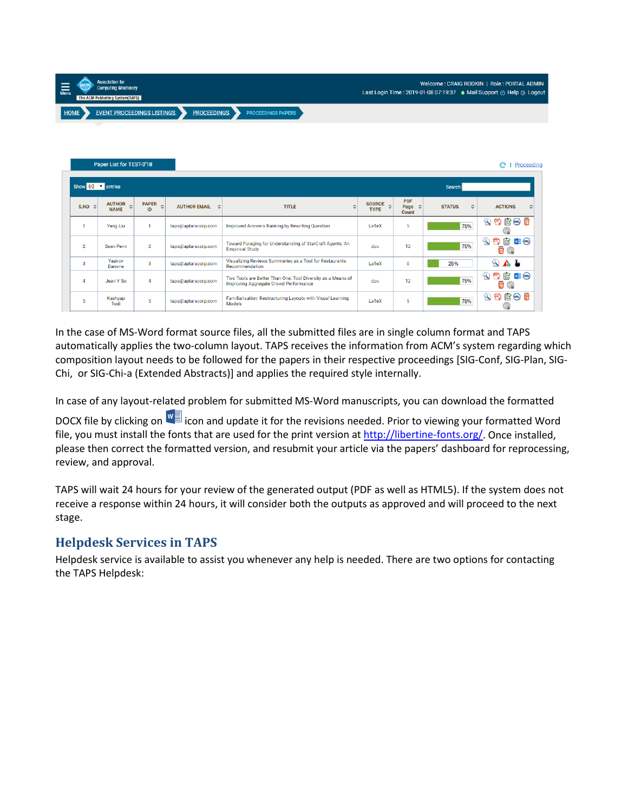|      | <b>Association for</b><br><b>Computing Machinery</b><br>The ACM Publishing System(TAPS) | Welcome: CRAIG RODKIN   Role: PORTAL ADMIN<br>Last Login Time : 2019-01-08 07:19:37 . Mail Support @ Help G Logout |
|------|-----------------------------------------------------------------------------------------|--------------------------------------------------------------------------------------------------------------------|
| HOME | <b>PROCEEDINGS</b><br>EVENT PROCEEDINGS LISTINGS<br><b>PROCEEDINGS PAPERS</b>           |                                                                                                                    |

| Paper List for TEST-3'18<br>Proceedin<br>e |                         |                              |                                  |                                                                                                             |                         |                                               |                                     |                                                                                                                             |
|--------------------------------------------|-------------------------|------------------------------|----------------------------------|-------------------------------------------------------------------------------------------------------------|-------------------------|-----------------------------------------------|-------------------------------------|-----------------------------------------------------------------------------------------------------------------------------|
| Show 50 T entries                          |                         |                              |                                  | Search:                                                                                                     |                         |                                               |                                     |                                                                                                                             |
| S.NO $\diamond$                            | AUTHOR C<br><b>NAME</b> | $PAPER \quad \Diamond$<br>ID | <b>AUTHOR EMAIL</b><br>$\hat{C}$ | <b>TITLE</b><br>$\hat{C}$                                                                                   | SOURCE O<br><b>TYPE</b> | <b>PDF</b><br>Page $\Leftrightarrow$<br>Count | <b>STATUS</b><br>$\hat{\mathbf{v}}$ | <b>ACTIONS</b><br>$\hat{\mathbf{v}}$                                                                                        |
|                                            | <b>Yang Liu</b>         | -1                           | taps@aptaracorp.com              | Improved Answers Ranking by Rewriting Question                                                              | LaTeX                   | 5                                             | 75%                                 | <b>BOU</b><br>€<br>$\mathbf{R}$                                                                                             |
| $\overline{2}$                             | Sean Penn               | $\overline{2}$               | taps@aptaracorp.com              | Toward Foraging for Understanding of StarCraft Agents: An<br><b>Empirical Study</b>                         | doc                     | 12                                            | 75%                                 | <b>EXAMPLE 1999</b><br>$\mathbf{F}$ .<br>$\mathbb{R}$<br>Ġ<br>$\left\langle \left\langle \cdot \right\rangle \right\rangle$ |
| 3                                          | Yaakov<br>Danone        | $\overline{\mathbf{3}}$      | taps@aptaracorp.com              | Visualizing Reviews Summaries as a Tool for Restaurants<br>Recommendation                                   | LaTeX                   | $\bf{0}$                                      | 25%                                 | $\mathbb{R}$ $\mathbb{A}$ is                                                                                                |
| $\boldsymbol{A}$                           | Jean Y So               | $\overline{4}$               | taps@aptaracorp.com              | Two Tools are Better Than One: Tool Diversity as a Means of<br><b>Improving Aggregate Crowd Performance</b> | doc                     | 12                                            | 75%                                 | 骨官中<br>$\mathbf{R}$<br>肎                                                                                                    |
| 5                                          | Kashyap<br>Todi         | 5                            | taps@aptaracorp.com              | Familiarisation: Restructuring Layouts with Visual Learning<br>Models                                       | LaTeX                   | 5                                             | 75%                                 | €<br><b>ROB</b><br>$\infty$                                                                                                 |

In the case of MS-Word format source files, all the submitted files are in single column format and TAPS automatically applies the two-column layout. TAPS receives the information from ACM's system regarding which composition layout needs to be followed for the papers in their respective proceedings [SIG-Conf, SIG-Plan, SIG-Chi, or SIG-Chi-a (Extended Abstracts)] and applies the required style internally.

In case of any layout-related problem for submitted MS-Word manuscripts, you can download the formatted

DOCX file by clicking on  $\frac{w}{2}$  icon and update it for the revisions needed. Prior to viewing your formatted Word file, you must install the fonts that are used for the print version a[t http://libertine-fonts.org/.](http://libertine-fonts.org/) Once installed, please then correct the formatted version, and resubmit your article via the papers' dashboard for reprocessing, review, and approval.

TAPS will wait 24 hours for your review of the generated output (PDF as well as HTML5). If the system does not receive a response within 24 hours, it will consider both the outputs as approved and will proceed to the next stage.

### **Helpdesk Services in TAPS**

Helpdesk service is available to assist you whenever any help is needed. There are two options for contacting the TAPS Helpdesk: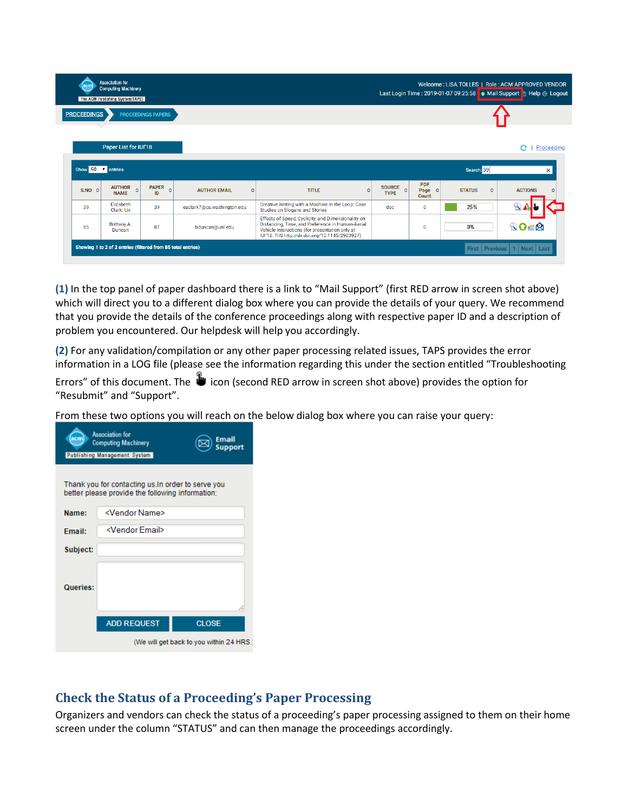|                                                                                                    | <b>Association for</b><br><b>Computing Machinery</b><br>The ACM Publishing System(TAPS) |                                          |                                           |                                                                                                                                                                                                             |                                    |                                          |               | Welcome: LISA TOLLES   Role: ACM APPROVED VENDOR<br>Last Login Time: 2019-01-07 09:25:58 · Mail Support > Help + Logout |
|----------------------------------------------------------------------------------------------------|-----------------------------------------------------------------------------------------|------------------------------------------|-------------------------------------------|-------------------------------------------------------------------------------------------------------------------------------------------------------------------------------------------------------------|------------------------------------|------------------------------------------|---------------|-------------------------------------------------------------------------------------------------------------------------|
| <b>PROCEEDINGS</b>                                                                                 |                                                                                         | <b>PROCEEDINGS PAPERS</b>                |                                           |                                                                                                                                                                                                             |                                    |                                          |               |                                                                                                                         |
| Show $50$ $\bullet$ entries                                                                        | Paper List for IUI'18                                                                   |                                          |                                           |                                                                                                                                                                                                             |                                    |                                          | Search: 39    | Proceeding<br>е<br>$\mathbf{x}$                                                                                         |
| $S.NO \quad \textcircled{c}$                                                                       | AUTHOR C<br><b>NAME</b>                                                                 | <b>PAPER</b><br>$\hat{\mathbf{C}}$<br>ID | $\hat{\mathbf{v}}$<br><b>AUTHOR EMAIL</b> | <b>TITLE</b><br>≎                                                                                                                                                                                           | SOURCE <sub>2</sub><br><b>TYPE</b> | <b>PDF</b><br>Page<br>$\hat{z}$<br>Count | <b>STATUS</b> | $\hat{v}$<br><b>ACTIONS</b><br>$\hat{c}$                                                                                |
| 39                                                                                                 | Elizabeth<br>Clark: Un                                                                  | 39                                       | eaclark7@cs.washington.edu                | Creative Writing with a Machine in the Loop: Case<br>Studies on Slogans and Stories                                                                                                                         | doc                                | $\bf{0}$                                 | 25%           | <b>RA</b>                                                                                                               |
| 85                                                                                                 | Brittany A.<br>Duncan                                                                   | 87                                       | bduncan@unl.edu                           | Effects of Speed, Cyclicity, and Dimensionality on<br>Distancing, Time, and Preference in Human-Aerial<br>Vehicle Interactions (for presentation only at<br>IUI'18: TIIS http://dx.doi.org/10.1145/2983927) |                                    | $\bf{0}$                                 | 0%            | $Q - R$                                                                                                                 |
| Showing 1 to 2 of 2 entries (filtered from 85 total entries)<br>First   Previous   1   Next   Last |                                                                                         |                                          |                                           |                                                                                                                                                                                                             |                                    |                                          |               |                                                                                                                         |

**(1)** In the top panel of paper dashboard there is a link to "Mail Support" (first RED arrow in screen shot above) which will direct you to a different dialog box where you can provide the details of your query. We recommend that you provide the details of the conference proceedings along with respective paper ID and a description of problem you encountered. Our helpdesk will help you accordingly.

**(2)** For any validation/compilation or any other paper processing related issues, TAPS provides the error information in a LOG file (please see the information regarding this under the section entitled "Troubleshooting

Errors" of this document. The  $\mathbf{\hat{u}}$  icon (second RED arrow in screen shot above) provides the option for "Resubmit" and "Support".

From these two options you will reach on the below dialog box where you can raise your query:

| acm      | Association for<br><b>Computing Machinery</b><br>Publishing Management System                          | Email<br><b>Support</b>                 |  |  |  |  |
|----------|--------------------------------------------------------------------------------------------------------|-----------------------------------------|--|--|--|--|
|          | Thank you for contacting us. In order to serve you<br>better please provide the following information: |                                         |  |  |  |  |
| Name:    | <vendor name=""></vendor>                                                                              |                                         |  |  |  |  |
| Email:   | <vendor email=""></vendor>                                                                             |                                         |  |  |  |  |
| Subject: |                                                                                                        |                                         |  |  |  |  |
| Queries: |                                                                                                        |                                         |  |  |  |  |
|          | <b>ADD REQUEST</b>                                                                                     | <b>CLOSE</b>                            |  |  |  |  |
|          |                                                                                                        | (We will get back to you within 24 HRS. |  |  |  |  |

### **Check the Status of a Proceeding's Paper Processing**

Organizers and vendors can check the status of a proceeding's paper processing assigned to them on their home screen under the column "STATUS" and can then manage the proceedings accordingly.